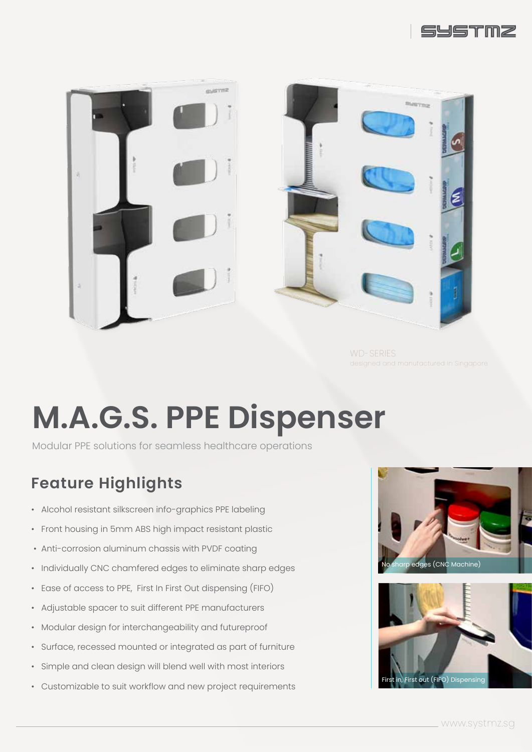



WD-SERIES

# **M.A.G.S. PPE Dispenser**

Modular PPE solutions for seamless healthcare operations

#### **Feature Highlights**

- Alcohol resistant silkscreen info-graphics PPE labeling
- Front housing in 5mm ABS high impact resistant plastic
- Anti-corrosion aluminum chassis with PVDF coating
- Individually CNC chamfered edges to eliminate sharp edges
- Ease of access to PPE, First In First Out dispensing (FIFO)
- Adjustable spacer to suit different PPE manufacturers
- Modular design for interchangeability and futureproof
- Surface, recessed mounted or integrated as part of furniture
- Simple and clean design will blend well with most interiors
- Customizable to suit workflow and new project requirements



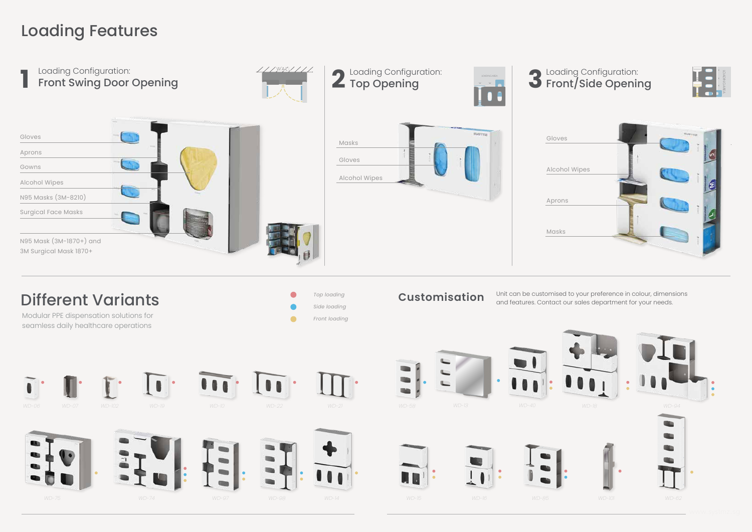## Loading Features